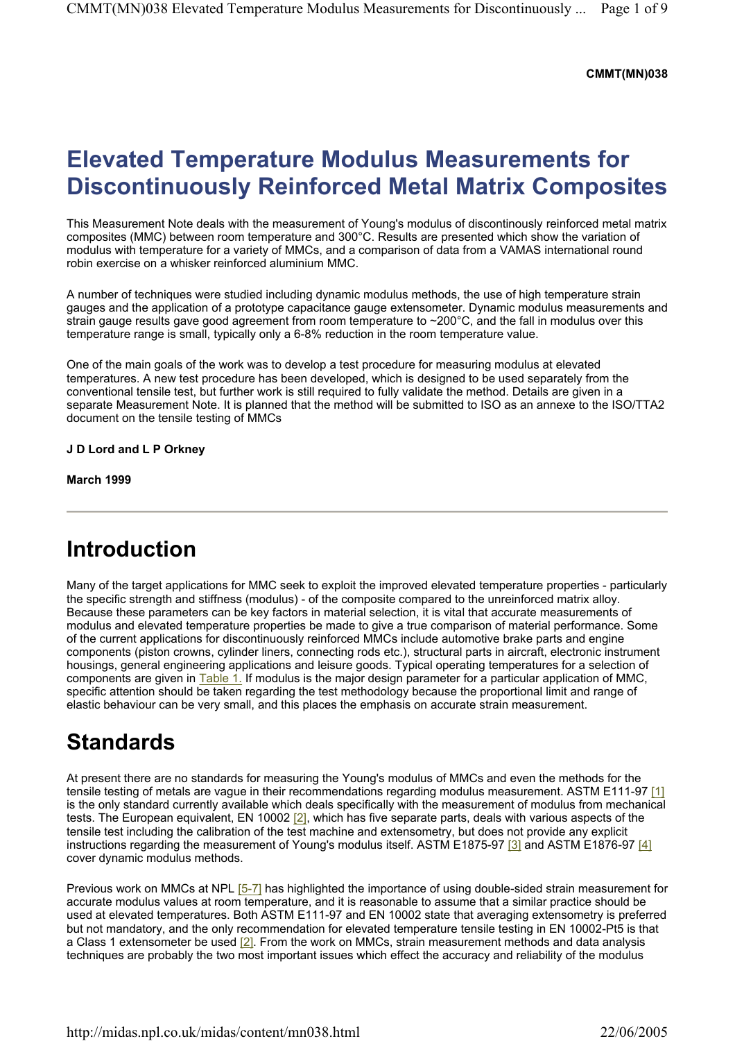#### **CMMT(MN)038**

## **Elevated Temperature Modulus Measurements for Discontinuously Reinforced Metal Matrix Composites**

This Measurement Note deals with the measurement of Young's modulus of discontinously reinforced metal matrix composites (MMC) between room temperature and 300°C. Results are presented which show the variation of modulus with temperature for a variety of MMCs, and a comparison of data from a VAMAS international round robin exercise on a whisker reinforced aluminium MMC.

A number of techniques were studied including dynamic modulus methods, the use of high temperature strain gauges and the application of a prototype capacitance gauge extensometer. Dynamic modulus measurements and strain gauge results gave good agreement from room temperature to ~200°C, and the fall in modulus over this temperature range is small, typically only a 6-8% reduction in the room temperature value.

One of the main goals of the work was to develop a test procedure for measuring modulus at elevated temperatures. A new test procedure has been developed, which is designed to be used separately from the conventional tensile test, but further work is still required to fully validate the method. Details are given in a separate Measurement Note. It is planned that the method will be submitted to ISO as an annexe to the ISO/TTA2 document on the tensile testing of MMCs

#### **J D Lord and L P Orkney**

**March 1999** 

### **Introduction**

Many of the target applications for MMC seek to exploit the improved elevated temperature properties - particularly the specific strength and stiffness (modulus) - of the composite compared to the unreinforced matrix alloy. Because these parameters can be key factors in material selection, it is vital that accurate measurements of modulus and elevated temperature properties be made to give a true comparison of material performance. Some of the current applications for discontinuously reinforced MMCs include automotive brake parts and engine components (piston crowns, cylinder liners, connecting rods etc.), structural parts in aircraft, electronic instrument housings, general engineering applications and leisure goods. Typical operating temperatures for a selection of components are given in Table 1. If modulus is the major design parameter for a particular application of MMC, specific attention should be taken regarding the test methodology because the proportional limit and range of elastic behaviour can be very small, and this places the emphasis on accurate strain measurement.

### **Standards**

At present there are no standards for measuring the Young's modulus of MMCs and even the methods for the tensile testing of metals are vague in their recommendations regarding modulus measurement. ASTM E111-97 [1] is the only standard currently available which deals specifically with the measurement of modulus from mechanical tests. The European equivalent, EN 10002 [2], which has five separate parts, deals with various aspects of the tensile test including the calibration of the test machine and extensometry, but does not provide any explicit instructions regarding the measurement of Young's modulus itself. ASTM E1875-97 [3] and ASTM E1876-97 [4] cover dynamic modulus methods.

Previous work on MMCs at NPL [5-7] has highlighted the importance of using double-sided strain measurement for accurate modulus values at room temperature, and it is reasonable to assume that a similar practice should be used at elevated temperatures. Both ASTM E111-97 and EN 10002 state that averaging extensometry is preferred but not mandatory, and the only recommendation for elevated temperature tensile testing in EN 10002-Pt5 is that a Class 1 extensometer be used [2]. From the work on MMCs, strain measurement methods and data analysis techniques are probably the two most important issues which effect the accuracy and reliability of the modulus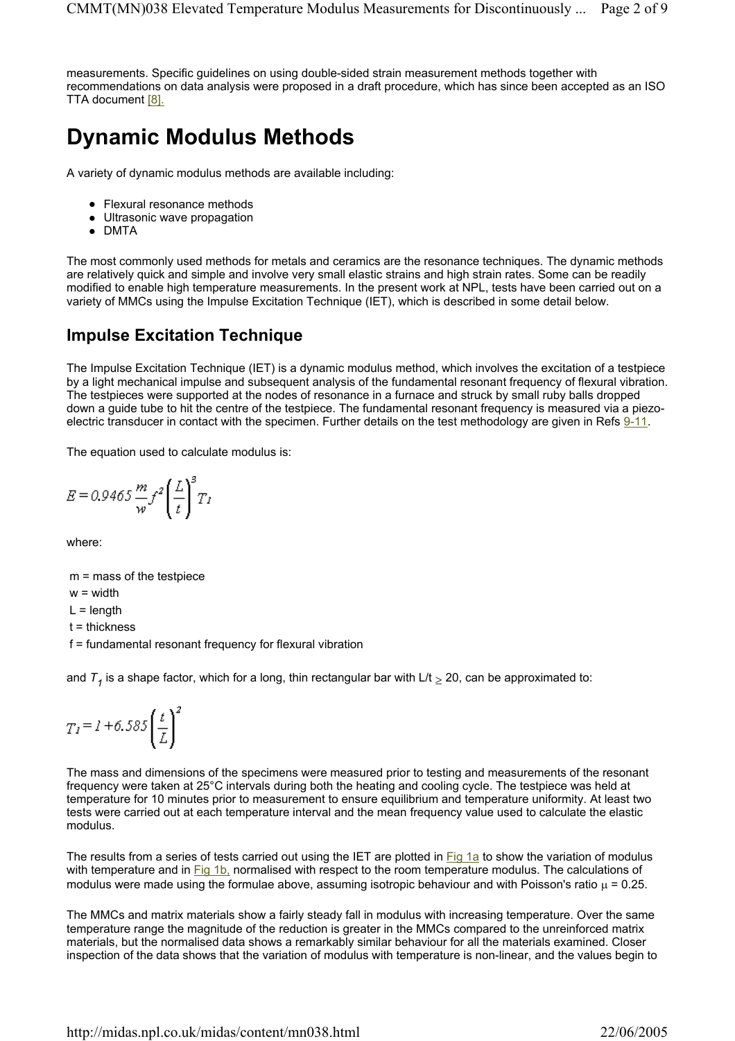measurements. Specific guidelines on using double-sided strain measurement methods together with recommendations on data analysis were proposed in a draft procedure, which has since been accepted as an ISO TTA document [8].

### **Dynamic Modulus Methods**

A variety of dynamic modulus methods are available including:

- Flexural resonance methods
- Ultrasonic wave propagation
- $\bullet$  DMTA

The most commonly used methods for metals and ceramics are the resonance techniques. The dynamic methods are relatively quick and simple and involve very small elastic strains and high strain rates. Some can be readily modified to enable high temperature measurements. In the present work at NPL, tests have been carried out on a variety of MMCs using the Impulse Excitation Technique (IET), which is described in some detail below.

### **Impulse Excitation Technique**

The Impulse Excitation Technique (IET) is a dynamic modulus method, which involves the excitation of a testpiece by a light mechanical impulse and subsequent analysis of the fundamental resonant frequency of flexural vibration. The testpieces were supported at the nodes of resonance in a furnace and struck by small ruby balls dropped down a guide tube to hit the centre of the testpiece. The fundamental resonant frequency is measured via a piezoelectric transducer in contact with the specimen. Further details on the test methodology are given in Refs 9-11.

The equation used to calculate modulus is:

$$
E = 0.9465 \frac{m}{w} f^2 \left(\frac{L}{t}\right)^3 T_1
$$

where:

m = mass of the testpiece

w = width

 $L =$  length

t = thickness

f = fundamental resonant frequency for flexural vibration

and  $T<sub>4</sub>$  is a shape factor, which for a long, thin rectangular bar with  $L/t > 20$ , can be approximated to:

$$
T_I = I + 6.585 \left(\frac{t}{L}\right)^2
$$

The mass and dimensions of the specimens were measured prior to testing and measurements of the resonant frequency were taken at 25°C intervals during both the heating and cooling cycle. The testpiece was held at temperature for 10 minutes prior to measurement to ensure equilibrium and temperature uniformity. At least two tests were carried out at each temperature interval and the mean frequency value used to calculate the elastic modulus.

The results from a series of tests carried out using the IET are plotted in Fig 1a to show the variation of modulus with temperature and in Fig 1b, normalised with respect to the room temperature modulus. The calculations of modulus were made using the formulae above, assuming isotropic behaviour and with Poisson's ratio  $\mu$  = 0.25.

The MMCs and matrix materials show a fairly steady fall in modulus with increasing temperature. Over the same temperature range the magnitude of the reduction is greater in the MMCs compared to the unreinforced matrix materials, but the normalised data shows a remarkably similar behaviour for all the materials examined. Closer inspection of the data shows that the variation of modulus with temperature is non-linear, and the values begin to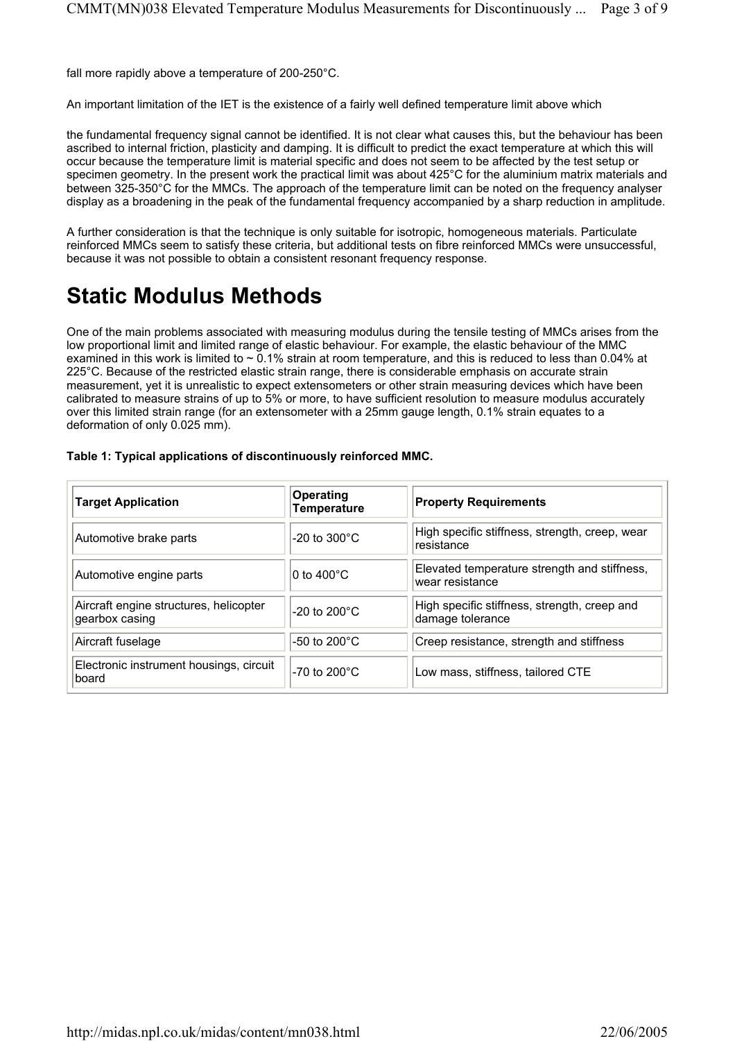fall more rapidly above a temperature of 200-250°C.

An important limitation of the IET is the existence of a fairly well defined temperature limit above which

the fundamental frequency signal cannot be identified. It is not clear what causes this, but the behaviour has been ascribed to internal friction, plasticity and damping. It is difficult to predict the exact temperature at which this will occur because the temperature limit is material specific and does not seem to be affected by the test setup or specimen geometry. In the present work the practical limit was about 425°C for the aluminium matrix materials and between 325-350°C for the MMCs. The approach of the temperature limit can be noted on the frequency analyser display as a broadening in the peak of the fundamental frequency accompanied by a sharp reduction in amplitude.

A further consideration is that the technique is only suitable for isotropic, homogeneous materials. Particulate reinforced MMCs seem to satisfy these criteria, but additional tests on fibre reinforced MMCs were unsuccessful, because it was not possible to obtain a consistent resonant frequency response.

# **Static Modulus Methods**

One of the main problems associated with measuring modulus during the tensile testing of MMCs arises from the low proportional limit and limited range of elastic behaviour. For example, the elastic behaviour of the MMC examined in this work is limited to ~ 0.1% strain at room temperature, and this is reduced to less than 0.04% at 225°C. Because of the restricted elastic strain range, there is considerable emphasis on accurate strain measurement, yet it is unrealistic to expect extensometers or other strain measuring devices which have been calibrated to measure strains of up to 5% or more, to have sufficient resolution to measure modulus accurately over this limited strain range (for an extensometer with a 25mm gauge length, 0.1% strain equates to a deformation of only 0.025 mm).

| <b>Target Application</b>                                | Operating<br><b>Temperature</b> | <b>Property Requirements</b>                                     |
|----------------------------------------------------------|---------------------------------|------------------------------------------------------------------|
| Automotive brake parts                                   | $-20$ to $300^{\circ}$ C        | High specific stiffness, strength, creep, wear<br>resistance     |
| Automotive engine parts                                  | $0$ to 400°C.                   | Elevated temperature strength and stiffness,<br>wear resistance  |
| Aircraft engine structures, helicopter<br>gearbox casing | $-20$ to $200^{\circ}$ C        | High specific stiffness, strength, creep and<br>damage tolerance |
| Aircraft fuselage                                        | $-50$ to 200 $^{\circ}$ C       | Creep resistance, strength and stiffness                         |
| Electronic instrument housings, circuit<br>board         | $-70$ to 200°C                  | Low mass, stiffness, tailored CTE                                |

#### **Table 1: Typical applications of discontinuously reinforced MMC.**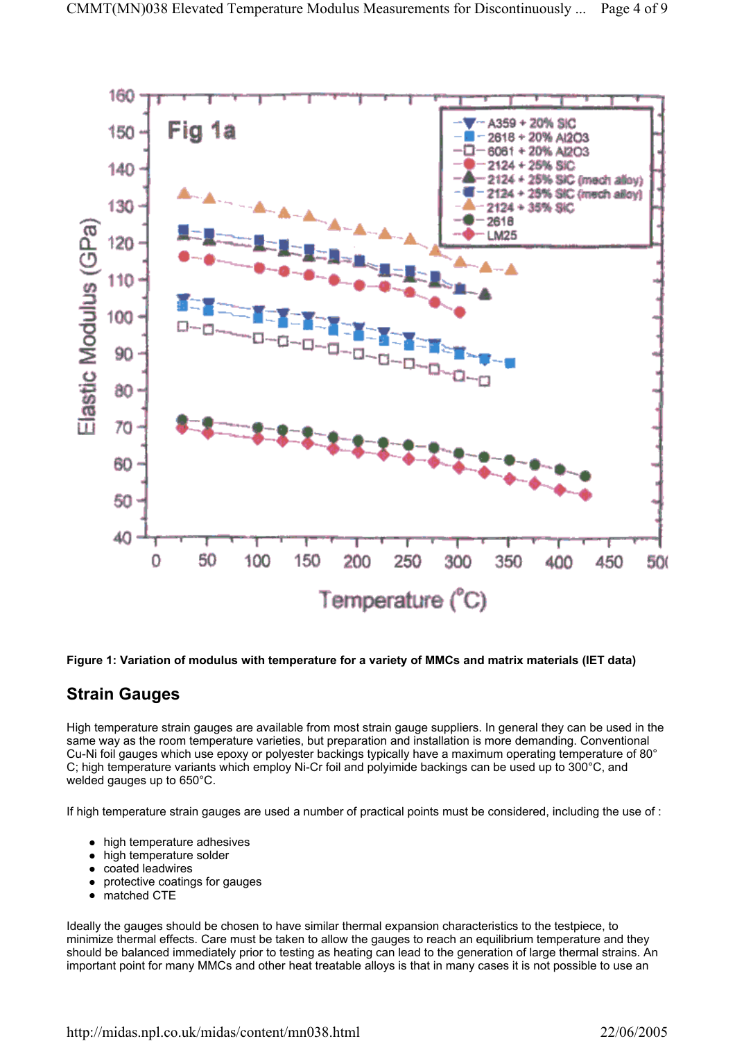

#### **Figure 1: Variation of modulus with temperature for a variety of MMCs and matrix materials (IET data)**

### **Strain Gauges**

High temperature strain gauges are available from most strain gauge suppliers. In general they can be used in the same way as the room temperature varieties, but preparation and installation is more demanding. Conventional Cu-Ni foil gauges which use epoxy or polyester backings typically have a maximum operating temperature of 80° C; high temperature variants which employ Ni-Cr foil and polyimide backings can be used up to 300°C, and welded gauges up to 650°C.

If high temperature strain gauges are used a number of practical points must be considered, including the use of :

- $\bullet$  high temperature adhesives
- $\bullet$  high temperature solder
- coated leadwires
- protective coatings for gauges
- $\bullet$  matched CTE

Ideally the gauges should be chosen to have similar thermal expansion characteristics to the testpiece, to minimize thermal effects. Care must be taken to allow the gauges to reach an equilibrium temperature and they should be balanced immediately prior to testing as heating can lead to the generation of large thermal strains. An important point for many MMCs and other heat treatable alloys is that in many cases it is not possible to use an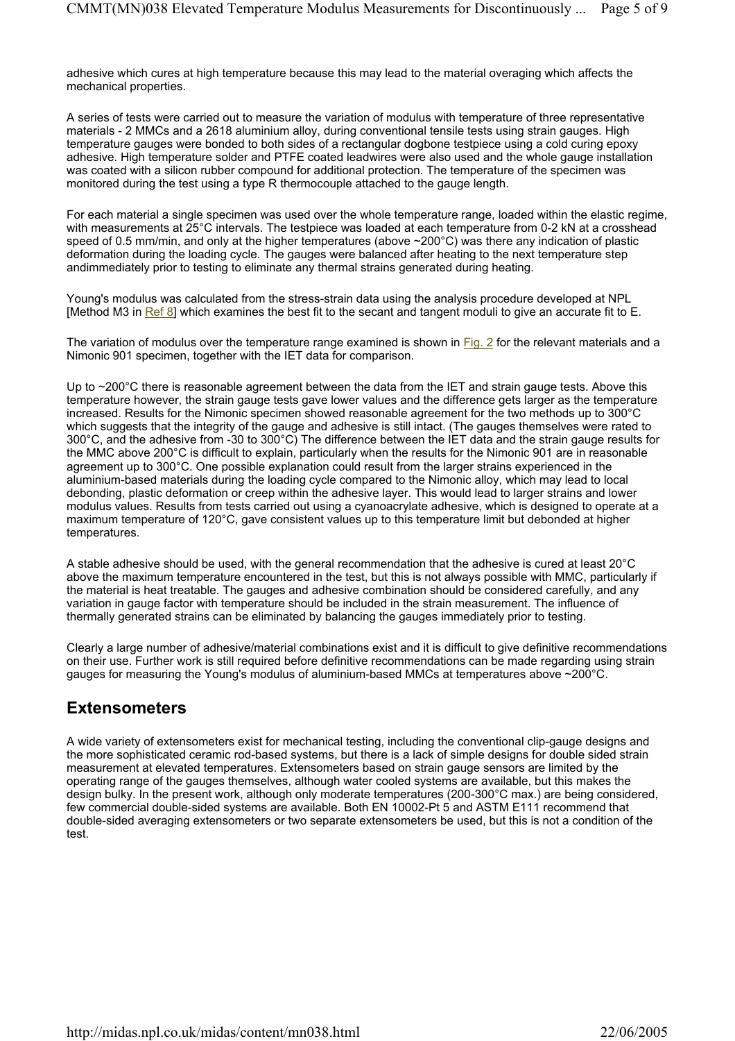adhesive which cures at high temperature because this may lead to the material overaging which affects the mechanical properties.

A series of tests were carried out to measure the variation of modulus with temperature of three representative materials - 2 MMCs and a 2618 aluminium alloy, during conventional tensile tests using strain gauges. High temperature gauges were bonded to both sides of a rectangular dogbone testpiece using a cold curing epoxy adhesive. High temperature solder and PTFE coated leadwires were also used and the whole gauge installation was coated with a silicon rubber compound for additional protection. The temperature of the specimen was monitored during the test using a type R thermocouple attached to the gauge length.

For each material a single specimen was used over the whole temperature range, loaded within the elastic regime, with measurements at 25°C intervals. The testpiece was loaded at each temperature from 0-2 kN at a crosshead speed of 0.5 mm/min, and only at the higher temperatures (above  $\sim$ 200 $^{\circ}$ C) was there any indication of plastic deformation during the loading cycle. The gauges were balanced after heating to the next temperature step andimmediately prior to testing to eliminate any thermal strains generated during heating.

Young's modulus was calculated from the stress-strain data using the analysis procedure developed at NPL [Method M3 in Ref 8] which examines the best fit to the secant and tangent moduli to give an accurate fit to E.

The variation of modulus over the temperature range examined is shown in Fig. 2 for the relevant materials and a Nimonic 901 specimen, together with the IET data for comparison.

Up to ~200°C there is reasonable agreement between the data from the IET and strain gauge tests. Above this temperature however, the strain gauge tests gave lower values and the difference gets larger as the temperature increased. Results for the Nimonic specimen showed reasonable agreement for the two methods up to 300°C which suggests that the integrity of the gauge and adhesive is still intact. (The gauges themselves were rated to 300°C, and the adhesive from -30 to 300°C) The difference between the IET data and the strain gauge results for the MMC above 200°C is difficult to explain, particularly when the results for the Nimonic 901 are in reasonable agreement up to 300°C. One possible explanation could result from the larger strains experienced in the aluminium-based materials during the loading cycle compared to the Nimonic alloy, which may lead to local debonding, plastic deformation or creep within the adhesive layer. This would lead to larger strains and lower modulus values. Results from tests carried out using a cyanoacrylate adhesive, which is designed to operate at a maximum temperature of 120°C, gave consistent values up to this temperature limit but debonded at higher temperatures.

A stable adhesive should be used, with the general recommendation that the adhesive is cured at least 20°C above the maximum temperature encountered in the test, but this is not always possible with MMC, particularly if the material is heat treatable. The gauges and adhesive combination should be considered carefully, and any variation in gauge factor with temperature should be included in the strain measurement. The influence of thermally generated strains can be eliminated by balancing the gauges immediately prior to testing.

Clearly a large number of adhesive/material combinations exist and it is difficult to give definitive recommendations on their use. Further work is still required before definitive recommendations can be made regarding using strain gauges for measuring the Young's modulus of aluminium-based MMCs at temperatures above ~200°C.

### **Extensometers**

A wide variety of extensometers exist for mechanical testing, including the conventional clip-gauge designs and the more sophisticated ceramic rod-based systems, but there is a lack of simple designs for double sided strain measurement at elevated temperatures. Extensometers based on strain gauge sensors are limited by the operating range of the gauges themselves, although water cooled systems are available, but this makes the design bulky. In the present work, although only moderate temperatures (200-300°C max.) are being considered, few commercial double-sided systems are available. Both EN 10002-Pt 5 and ASTM E111 recommend that double-sided averaging extensometers or two separate extensometers be used, but this is not a condition of the test.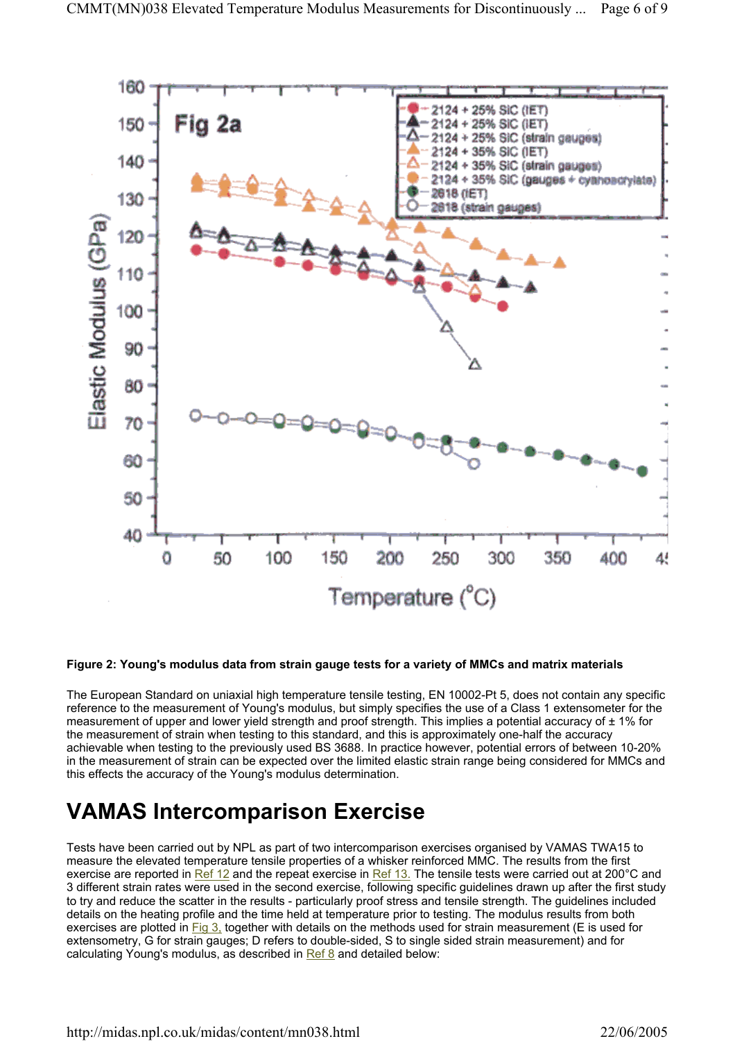

#### **Figure 2: Young's modulus data from strain gauge tests for a variety of MMCs and matrix materials**

The European Standard on uniaxial high temperature tensile testing, EN 10002-Pt 5, does not contain any specific reference to the measurement of Young's modulus, but simply specifies the use of a Class 1 extensometer for the measurement of upper and lower yield strength and proof strength. This implies a potential accuracy of  $\pm 1\%$  for the measurement of strain when testing to this standard, and this is approximately one-half the accuracy achievable when testing to the previously used BS 3688. In practice however, potential errors of between 10-20% in the measurement of strain can be expected over the limited elastic strain range being considered for MMCs and this effects the accuracy of the Young's modulus determination.

### **VAMAS Intercomparison Exercise**

Tests have been carried out by NPL as part of two intercomparison exercises organised by VAMAS TWA15 to measure the elevated temperature tensile properties of a whisker reinforced MMC. The results from the first exercise are reported in Ref 12 and the repeat exercise in Ref 13. The tensile tests were carried out at 200°C and 3 different strain rates were used in the second exercise, following specific guidelines drawn up after the first study to try and reduce the scatter in the results - particularly proof stress and tensile strength. The guidelines included details on the heating profile and the time held at temperature prior to testing. The modulus results from both exercises are plotted in Fig 3, together with details on the methods used for strain measurement (E is used for extensometry, G for strain gauges; D refers to double-sided, S to single sided strain measurement) and for calculating Young's modulus, as described in Ref 8 and detailed below: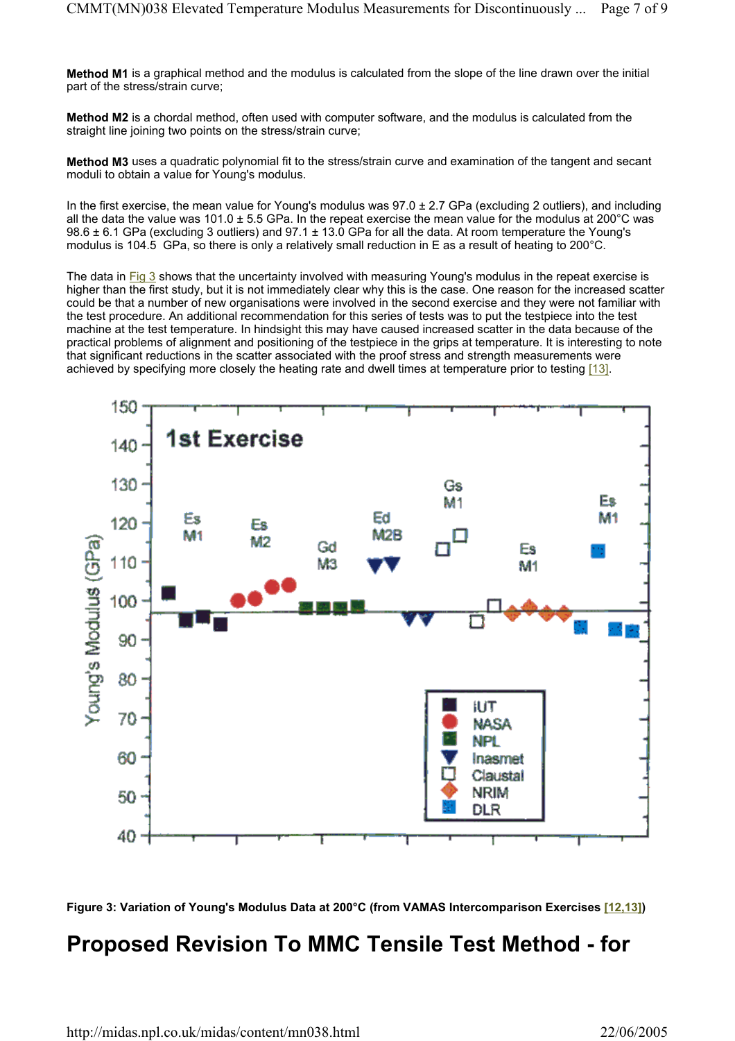**Method M1** is a graphical method and the modulus is calculated from the slope of the line drawn over the initial part of the stress/strain curve;

**Method M2** is a chordal method, often used with computer software, and the modulus is calculated from the straight line joining two points on the stress/strain curve;

**Method M3** uses a quadratic polynomial fit to the stress/strain curve and examination of the tangent and secant moduli to obtain a value for Young's modulus.

In the first exercise, the mean value for Young's modulus was  $97.0 \pm 2.7$  GPa (excluding 2 outliers), and including all the data the value was  $101.0 \pm 5.5$  GPa. In the repeat exercise the mean value for the modulus at  $200^{\circ}$ C was 98.6  $\pm$  6.1 GPa (excluding 3 outliers) and 97.1  $\pm$  13.0 GPa for all the data. At room temperature the Young's modulus is 104.5 GPa, so there is only a relatively small reduction in E as a result of heating to 200°C.

The data in Fig 3 shows that the uncertainty involved with measuring Young's modulus in the repeat exercise is higher than the first study, but it is not immediately clear why this is the case. One reason for the increased scatter could be that a number of new organisations were involved in the second exercise and they were not familiar with the test procedure. An additional recommendation for this series of tests was to put the testpiece into the test machine at the test temperature. In hindsight this may have caused increased scatter in the data because of the practical problems of alignment and positioning of the testpiece in the grips at temperature. It is interesting to note that significant reductions in the scatter associated with the proof stress and strength measurements were achieved by specifying more closely the heating rate and dwell times at temperature prior to testing [13].





### **Proposed Revision To MMC Tensile Test Method - for**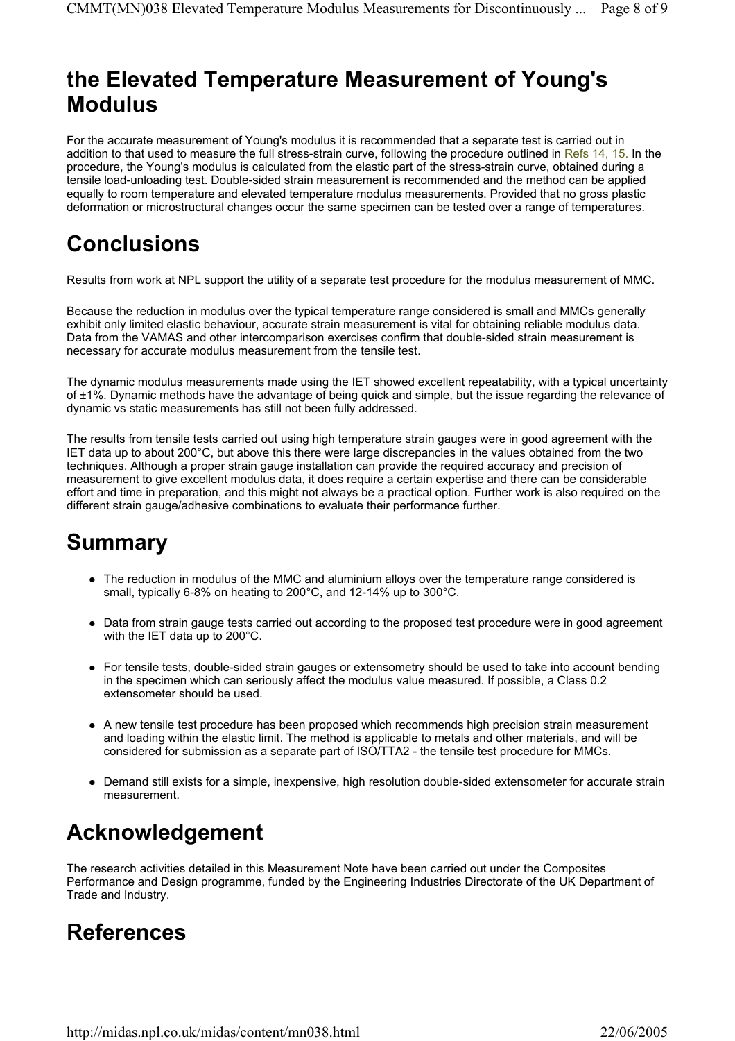### **the Elevated Temperature Measurement of Young's Modulus**

For the accurate measurement of Young's modulus it is recommended that a separate test is carried out in addition to that used to measure the full stress-strain curve, following the procedure outlined in Refs 14, 15. In the procedure, the Young's modulus is calculated from the elastic part of the stress-strain curve, obtained during a tensile load-unloading test. Double-sided strain measurement is recommended and the method can be applied equally to room temperature and elevated temperature modulus measurements. Provided that no gross plastic deformation or microstructural changes occur the same specimen can be tested over a range of temperatures.

# **Conclusions**

Results from work at NPL support the utility of a separate test procedure for the modulus measurement of MMC.

Because the reduction in modulus over the typical temperature range considered is small and MMCs generally exhibit only limited elastic behaviour, accurate strain measurement is vital for obtaining reliable modulus data. Data from the VAMAS and other intercomparison exercises confirm that double-sided strain measurement is necessary for accurate modulus measurement from the tensile test.

The dynamic modulus measurements made using the IET showed excellent repeatability, with a typical uncertainty of ±1%. Dynamic methods have the advantage of being quick and simple, but the issue regarding the relevance of dynamic vs static measurements has still not been fully addressed.

The results from tensile tests carried out using high temperature strain gauges were in good agreement with the IET data up to about 200°C, but above this there were large discrepancies in the values obtained from the two techniques. Although a proper strain gauge installation can provide the required accuracy and precision of measurement to give excellent modulus data, it does require a certain expertise and there can be considerable effort and time in preparation, and this might not always be a practical option. Further work is also required on the different strain gauge/adhesive combinations to evaluate their performance further.

## **Summary**

- The reduction in modulus of the MMC and aluminium alloys over the temperature range considered is small, typically 6-8% on heating to 200°C, and 12-14% up to 300°C.
- Data from strain gauge tests carried out according to the proposed test procedure were in good agreement with the IET data up to 200°C.
- For tensile tests, double-sided strain gauges or extensometry should be used to take into account bending in the specimen which can seriously affect the modulus value measured. If possible, a Class 0.2 extensometer should be used.
- A new tensile test procedure has been proposed which recommends high precision strain measurement and loading within the elastic limit. The method is applicable to metals and other materials, and will be considered for submission as a separate part of ISO/TTA2 - the tensile test procedure for MMCs.
- Demand still exists for a simple, inexpensive, high resolution double-sided extensometer for accurate strain measurement.

## **Acknowledgement**

The research activities detailed in this Measurement Note have been carried out under the Composites Performance and Design programme, funded by the Engineering Industries Directorate of the UK Department of Trade and Industry.

## **References**